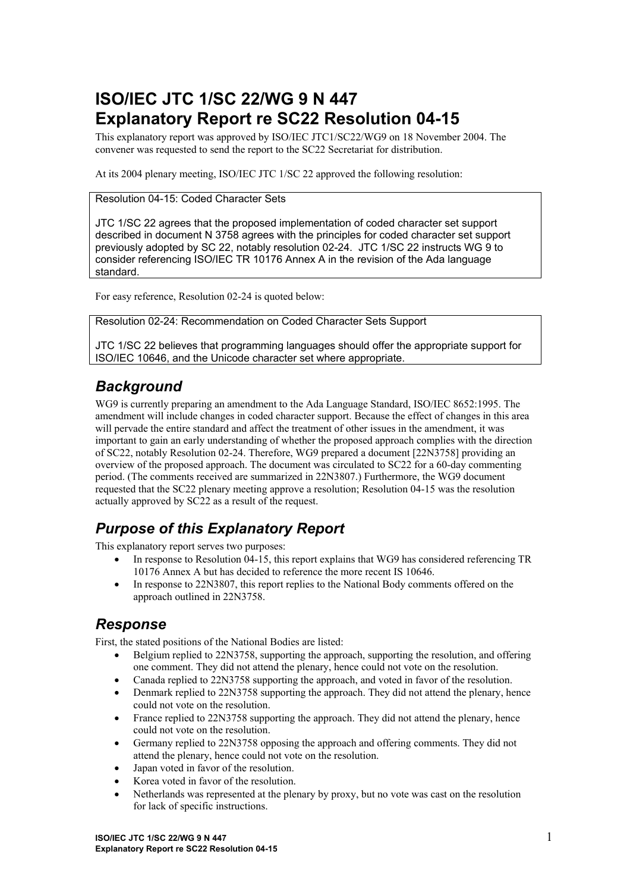# **ISO/IEC JTC 1/SC 22/WG 9 N 447 Explanatory Report re SC22 Resolution 04-15**

This explanatory report was approved by ISO/IEC JTC1/SC22/WG9 on 18 November 2004. The convener was requested to send the report to the SC22 Secretariat for distribution.

At its 2004 plenary meeting, ISO/IEC JTC 1/SC 22 approved the following resolution:

Resolution 04-15: Coded Character Sets

JTC 1/SC 22 agrees that the proposed implementation of coded character set support described in document N 3758 agrees with the principles for coded character set support previously adopted by SC 22, notably resolution 02-24. JTC 1/SC 22 instructs WG 9 to consider referencing ISO/IEC TR 10176 Annex A in the revision of the Ada language standard.

For easy reference, Resolution 02-24 is quoted below:

Resolution 02-24: Recommendation on Coded Character Sets Support

JTC 1/SC 22 believes that programming languages should offer the appropriate support for ISO/IEC 10646, and the Unicode character set where appropriate.

#### *Background*

WG9 is currently preparing an amendment to the Ada Language Standard, ISO/IEC 8652:1995. The amendment will include changes in coded character support. Because the effect of changes in this area will pervade the entire standard and affect the treatment of other issues in the amendment, it was important to gain an early understanding of whether the proposed approach complies with the direction of SC22, notably Resolution 02-24. Therefore, WG9 prepared a document [22N3758] providing an overview of the proposed approach. The document was circulated to SC22 for a 60-day commenting period. (The comments received are summarized in 22N3807.) Furthermore, the WG9 document requested that the SC22 plenary meeting approve a resolution; Resolution 04-15 was the resolution actually approved by SC22 as a result of the request.

## *Purpose of this Explanatory Report*

This explanatory report serves two purposes:

- In response to Resolution 04-15, this report explains that WG9 has considered referencing TR 10176 Annex A but has decided to reference the more recent IS 10646.
- In response to 22N3807, this report replies to the National Body comments offered on the approach outlined in 22N3758.

#### *Response*

First, the stated positions of the National Bodies are listed:

- Belgium replied to 22N3758, supporting the approach, supporting the resolution, and offering one comment. They did not attend the plenary, hence could not vote on the resolution.
- Canada replied to 22N3758 supporting the approach, and voted in favor of the resolution.
- Denmark replied to 22N3758 supporting the approach. They did not attend the plenary, hence could not vote on the resolution.
- France replied to 22N3758 supporting the approach. They did not attend the plenary, hence could not vote on the resolution.
- Germany replied to 22N3758 opposing the approach and offering comments. They did not attend the plenary, hence could not vote on the resolution.
- Japan voted in favor of the resolution.
- Korea voted in favor of the resolution.
- Netherlands was represented at the plenary by proxy, but no vote was cast on the resolution for lack of specific instructions.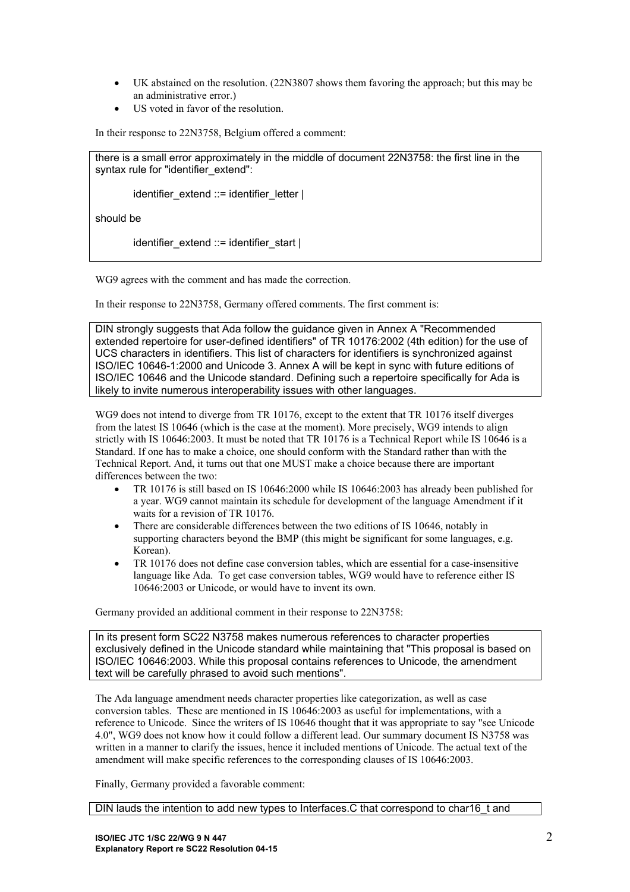- UK abstained on the resolution. (22N3807 shows them favoring the approach; but this may be an administrative error.)
- US voted in favor of the resolution.

In their response to 22N3758, Belgium offered a comment:

there is a small error approximately in the middle of document 22N3758: the first line in the syntax rule for "identifier\_extend":

identifier\_extend ::= identifier\_letter |

should be

identifier\_extend  $::=$  identifier\_start  $|$ 

WG9 agrees with the comment and has made the correction.

In their response to 22N3758, Germany offered comments. The first comment is:

DIN strongly suggests that Ada follow the guidance given in Annex A "Recommended extended repertoire for user-defined identifiers" of TR 10176:2002 (4th edition) for the use of UCS characters in identifiers. This list of characters for identifiers is synchronized against ISO/IEC 10646-1:2000 and Unicode 3. Annex A will be kept in sync with future editions of ISO/IEC 10646 and the Unicode standard. Defining such a repertoire specifically for Ada is likely to invite numerous interoperability issues with other languages.

WG9 does not intend to diverge from TR 10176, except to the extent that TR 10176 itself diverges from the latest IS 10646 (which is the case at the moment). More precisely, WG9 intends to align strictly with IS 10646:2003. It must be noted that TR 10176 is a Technical Report while IS 10646 is a Standard. If one has to make a choice, one should conform with the Standard rather than with the Technical Report. And, it turns out that one MUST make a choice because there are important differences between the two:

- TR 10176 is still based on IS 10646:2000 while IS 10646:2003 has already been published for a year. WG9 cannot maintain its schedule for development of the language Amendment if it waits for a revision of TR 10176.
- There are considerable differences between the two editions of IS 10646, notably in supporting characters beyond the BMP (this might be significant for some languages, e.g. Korean).
- TR 10176 does not define case conversion tables, which are essential for a case-insensitive language like Ada. To get case conversion tables, WG9 would have to reference either IS 10646:2003 or Unicode, or would have to invent its own.

Germany provided an additional comment in their response to 22N3758:

In its present form SC22 N3758 makes numerous references to character properties exclusively defined in the Unicode standard while maintaining that "This proposal is based on ISO/IEC 10646:2003. While this proposal contains references to Unicode, the amendment text will be carefully phrased to avoid such mentions".

The Ada language amendment needs character properties like categorization, as well as case conversion tables. These are mentioned in IS 10646:2003 as useful for implementations, with a reference to Unicode. Since the writers of IS 10646 thought that it was appropriate to say "see Unicode 4.0", WG9 does not know how it could follow a different lead. Our summary document IS N3758 was written in a manner to clarify the issues, hence it included mentions of Unicode. The actual text of the amendment will make specific references to the corresponding clauses of IS 10646:2003.

Finally, Germany provided a favorable comment:

DIN lauds the intention to add new types to Interfaces.C that correspond to char16\_t and